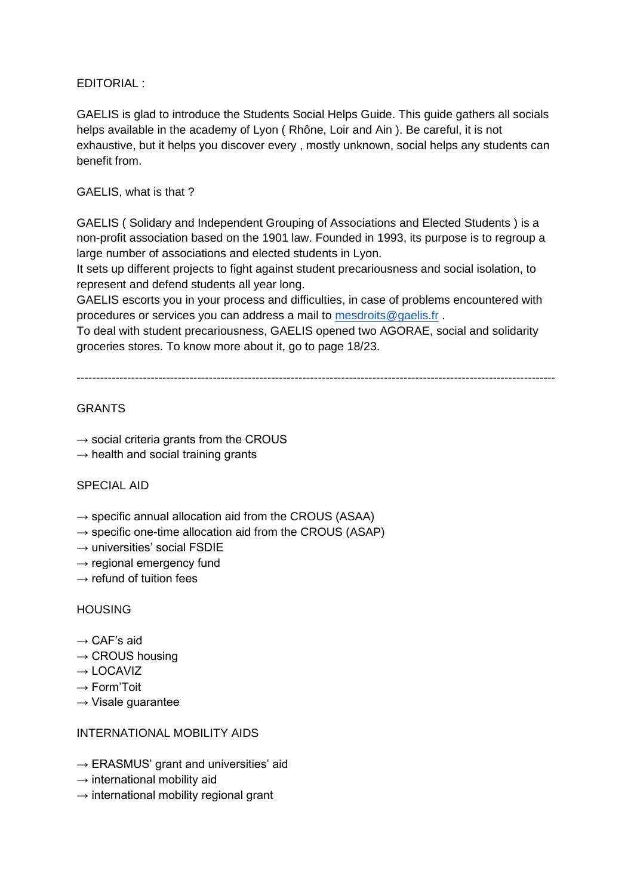EDITORIAL :

GAELIS is glad to introduce the Students Social Helps Guide. This guide gathers all socials helps available in the academy of Lyon ( Rhône, Loir and Ain ). Be careful, it is not exhaustive, but it helps you discover every , mostly unknown, social helps any students can benefit from.

#### GAELIS, what is that ?

GAELIS ( Solidary and Independent Grouping of Associations and Elected Students ) is a non-profit association based on the 1901 law. Founded in 1993, its purpose is to regroup a large number of associations and elected students in Lyon.

It sets up different projects to fight against student precariousness and social isolation, to represent and defend students all year long.

GAELIS escorts you in your process and difficulties, in case of problems encountered with procedures or services you can address a mail to [mesdroits@gaelis.fr](mailto:mesdroits@gaelis.fr).

To deal with student precariousness, GAELIS opened two AGORAE, social and solidarity groceries stores. To know more about it, go to page 18/23.

---------------------------------------------------------------------------------------------------------------------------

#### **GRANTS**

- $\rightarrow$  social criteria grants from the CROUS
- $\rightarrow$  health and social training grants

#### SPECIAL AID

- $\rightarrow$  specific annual allocation aid from the CROUS (ASAA)
- $\rightarrow$  specific one-time allocation aid from the CROUS (ASAP)
- $\rightarrow$  universities' social FSDIE
- $\rightarrow$  regional emergency fund
- $\rightarrow$  refund of tuition fees

#### HOUSING

- $\rightarrow$  CAF's aid
- $\rightarrow$  CROUS housing
- $\rightarrow$  LOCAVIZ
- $\rightarrow$  Form'Toit
- $\rightarrow$  Visale guarantee

#### INTERNATIONAL MOBILITY AIDS

- $\rightarrow$  ERASMUS' grant and universities' aid
- $\rightarrow$  international mobility aid
- $\rightarrow$  international mobility regional grant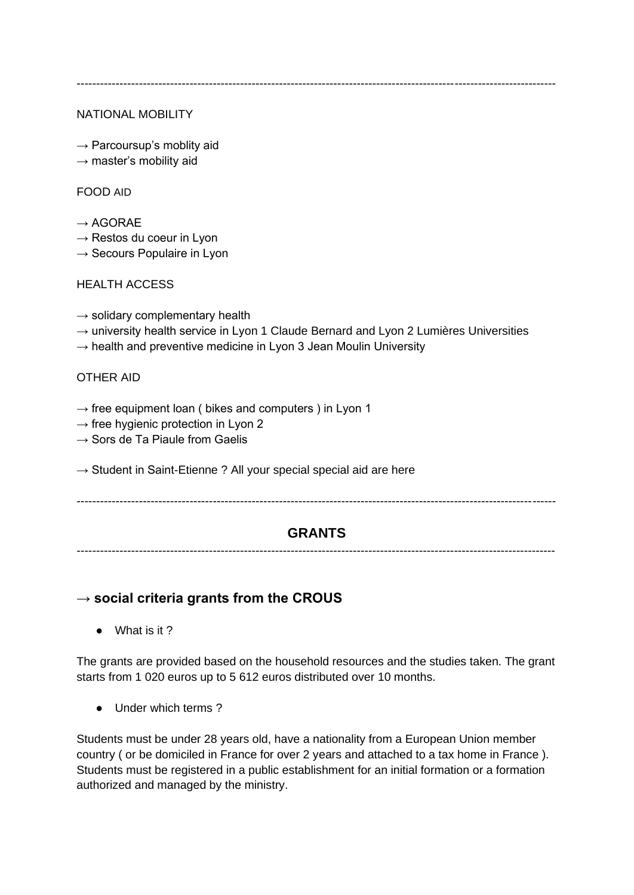#### NATIONAL MOBILITY

- $\rightarrow$  Parcoursup's moblity aid
- $\rightarrow$  master's mobility aid

#### FOOD AID

- $\rightarrow$  AGORAE
- $\rightarrow$  Restos du coeur in Lyon
- $\rightarrow$  Secours Populaire in Lyon

#### HEALTH ACCESS

- $\rightarrow$  solidary complementary health
- $\rightarrow$  university health service in Lyon 1 Claude Bernard and Lyon 2 Lumières Universities
- $\rightarrow$  health and preventive medicine in Lyon 3 Jean Moulin University

#### OTHER AID

- $\rightarrow$  free equipment loan ( bikes and computers ) in Lyon 1
- $\rightarrow$  free hygienic protection in Lyon 2
- $\rightarrow$  Sors de Ta Piaule from Gaelis
- $\rightarrow$  Student in Saint-Etienne ? All your special special aid are here

---------------------------------------------------------------------------------------------------------------------------

### **GRANTS**

---------------------------------------------------------------------------------------------------------------------------

### **→ social criteria grants from the CROUS**

● What is it ?

The grants are provided based on the household resources and the studies taken. The grant starts from 1 020 euros up to 5 612 euros distributed over 10 months.

● Under which terms ?

Students must be under 28 years old, have a nationality from a European Union member country ( or be domiciled in France for over 2 years and attached to a tax home in France ). Students must be registered in a public establishment for an initial formation or a formation authorized and managed by the ministry.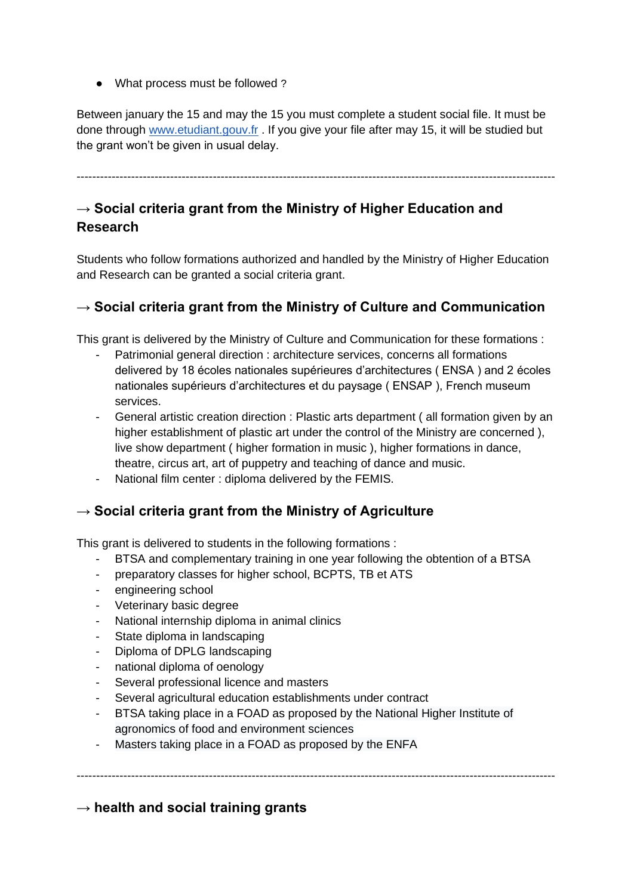• What process must be followed?

Between january the 15 and may the 15 you must complete a student social file. It must be done through [www.etudiant.gouv.fr](http://www.etudiant.gouv.fr/) . If you give your file after may 15, it will be studied but the grant won't be given in usual delay.

---------------------------------------------------------------------------------------------------------------------------

# → Social criteria grant from the Ministry of Higher Education and **Research**

Students who follow formations authorized and handled by the Ministry of Higher Education and Research can be granted a social criteria grant.

## **→ Social criteria grant from the Ministry of Culture and Communication**

This grant is delivered by the Ministry of Culture and Communication for these formations :

- Patrimonial general direction : architecture services, concerns all formations delivered by 18 écoles nationales supérieures d'architectures ( ENSA ) and 2 écoles nationales supérieurs d'architectures et du paysage ( ENSAP ), French museum services.
- General artistic creation direction : Plastic arts department ( all formation given by an higher establishment of plastic art under the control of the Ministry are concerned ), live show department ( higher formation in music ), higher formations in dance, theatre, circus art, art of puppetry and teaching of dance and music.
- National film center : diploma delivered by the FEMIS.

## → Social criteria grant from the Ministry of Agriculture

This grant is delivered to students in the following formations :

- BTSA and complementary training in one year following the obtention of a BTSA
- preparatory classes for higher school, BCPTS, TB et ATS
- engineering school
- Veterinary basic degree
- National internship diploma in animal clinics
- State diploma in landscaping
- Diploma of DPLG landscaping
- national diploma of oenology
- Several professional licence and masters
- Several agricultural education establishments under contract
- BTSA taking place in a FOAD as proposed by the National Higher Institute of agronomics of food and environment sciences

---------------------------------------------------------------------------------------------------------------------------

- Masters taking place in a FOAD as proposed by the ENFA

**→ health and social training grants**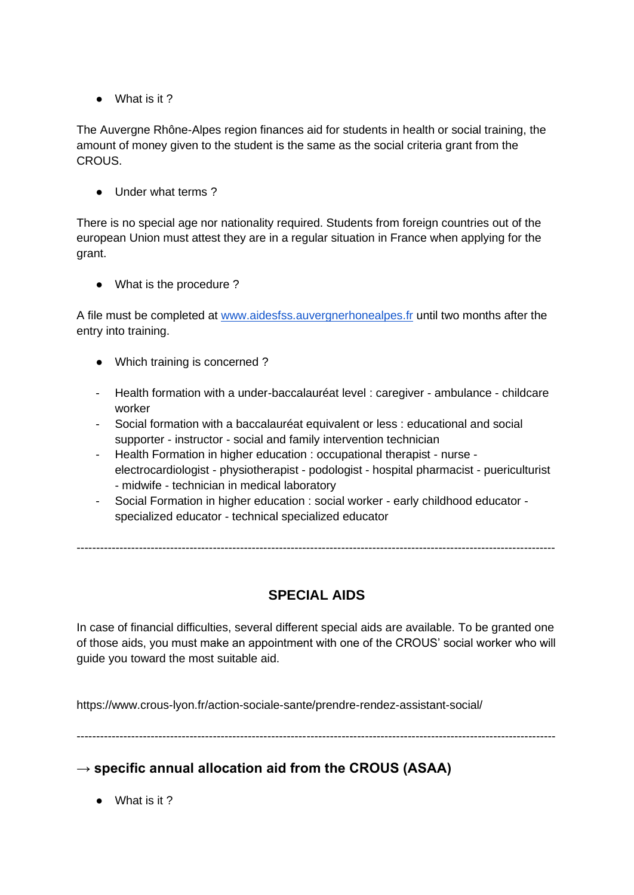● What is it ?

The Auvergne Rhône-Alpes region finances aid for students in health or social training, the amount of money given to the student is the same as the social criteria grant from the CROUS.

● Under what terms ?

There is no special age nor nationality required. Students from foreign countries out of the european Union must attest they are in a regular situation in France when applying for the grant.

● What is the procedure ?

A file must be completed at [www.aidesfss.auvergnerhonealpes.fr](http://www.aidesfss.auvergnerhonealpes.fr/) until two months after the entry into training.

- Which training is concerned ?
- Health formation with a under-baccalauréat level : caregiver ambulance childcare worker
- Social formation with a baccalauréat equivalent or less : educational and social supporter - instructor - social and family intervention technician
- Health Formation in higher education : occupational therapist nurse electrocardiologist - physiotherapist - podologist - hospital pharmacist - puericulturist - midwife - technician in medical laboratory
- Social Formation in higher education : social worker early childhood educator specialized educator - technical specialized educator

---------------------------------------------------------------------------------------------------------------------------

# **SPECIAL AIDS**

In case of financial difficulties, several different special aids are available. To be granted one of those aids, you must make an appointment with one of the CROUS' social worker who will guide you toward the most suitable aid.

https://www.crous-lyon.fr/action-sociale-sante/prendre-rendez-assistant-social/

---------------------------------------------------------------------------------------------------------------------------

## **→ specific annual allocation aid from the CROUS (ASAA)**

● What is it ?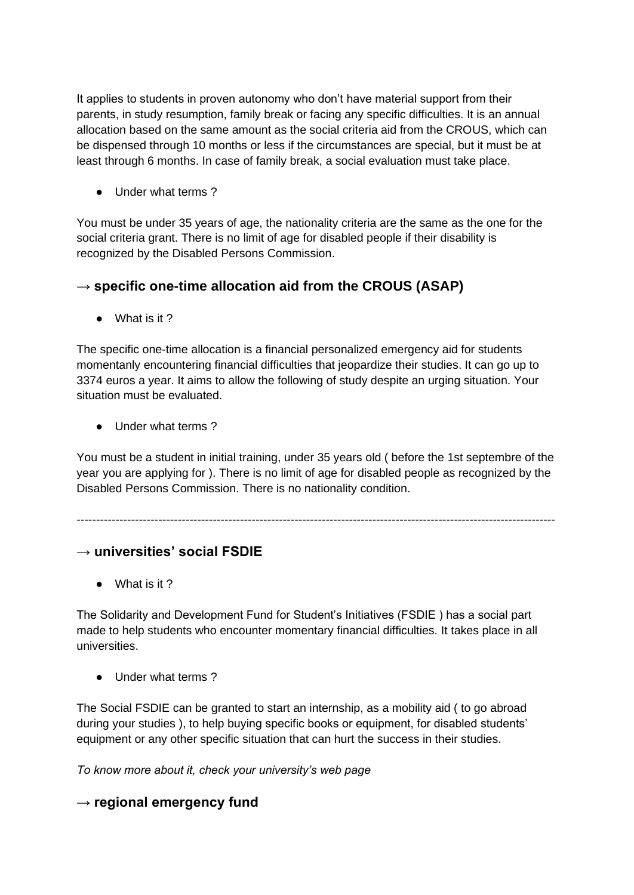It applies to students in proven autonomy who don't have material support from their parents, in study resumption, family break or facing any specific difficulties. It is an annual allocation based on the same amount as the social criteria aid from the CROUS, which can be dispensed through 10 months or less if the circumstances are special, but it must be at least through 6 months. In case of family break, a social evaluation must take place.

● Under what terms ?

You must be under 35 years of age, the nationality criteria are the same as the one for the social criteria grant. There is no limit of age for disabled people if their disability is recognized by the Disabled Persons Commission.

# **→ specific one-time allocation aid from the CROUS (ASAP)**

● What is it ?

The specific one-time allocation is a financial personalized emergency aid for students momentanly encountering financial difficulties that jeopardize their studies. It can go up to 3374 euros a year. It aims to allow the following of study despite an urging situation. Your situation must be evaluated.

● Under what terms ?

You must be a student in initial training, under 35 years old ( before the 1st septembre of the year you are applying for ). There is no limit of age for disabled people as recognized by the Disabled Persons Commission. There is no nationality condition.

---------------------------------------------------------------------------------------------------------------------------

## **→ universities' social FSDIE**

● What is it ?

The Solidarity and Development Fund for Student's Initiatives (FSDIE ) has a social part made to help students who encounter momentary financial difficulties. It takes place in all universities.

● Under what terms ?

The Social FSDIE can be granted to start an internship, as a mobility aid ( to go abroad during your studies ), to help buying specific books or equipment, for disabled students' equipment or any other specific situation that can hurt the success in their studies.

*To know more about it, check your university's web page*

**→ regional emergency fund**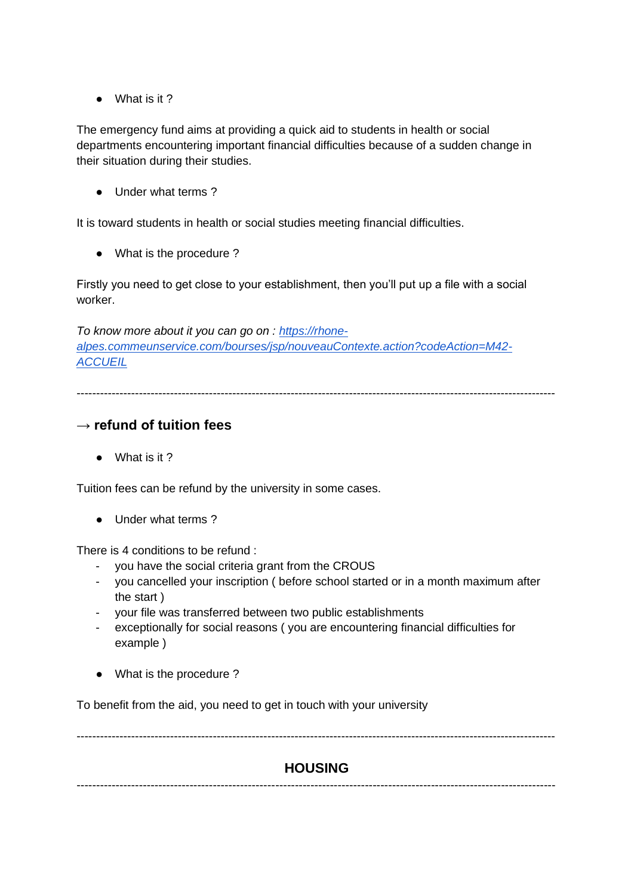● What is it ?

The emergency fund aims at providing a quick aid to students in health or social departments encountering important financial difficulties because of a sudden change in their situation during their studies.

● Under what terms ?

It is toward students in health or social studies meeting financial difficulties.

● What is the procedure ?

Firstly you need to get close to your establishment, then you'll put up a file with a social worker.

*To know more about it you can go on : [https://rhone](https://rhone-alpes.commeunservice.com/bourses/jsp/nouveauContexte.action?codeAction=M42-ACCUEIL)[alpes.commeunservice.com/bourses/jsp/nouveauContexte.action?codeAction=M42-](https://rhone-alpes.commeunservice.com/bourses/jsp/nouveauContexte.action?codeAction=M42-ACCUEIL) [ACCUEIL](https://rhone-alpes.commeunservice.com/bourses/jsp/nouveauContexte.action?codeAction=M42-ACCUEIL)*

---------------------------------------------------------------------------------------------------------------------------

### **→ refund of tuition fees**

● What is it ?

Tuition fees can be refund by the university in some cases.

● Under what terms ?

There is 4 conditions to be refund :

- you have the social criteria grant from the CROUS
- you cancelled your inscription ( before school started or in a month maximum after the start )
- your file was transferred between two public establishments
- exceptionally for social reasons ( you are encountering financial difficulties for example )
- What is the procedure ?

To benefit from the aid, you need to get in touch with your university

---------------------------------------------------------------------------------------------------------------------------

## **HOUSING**

---------------------------------------------------------------------------------------------------------------------------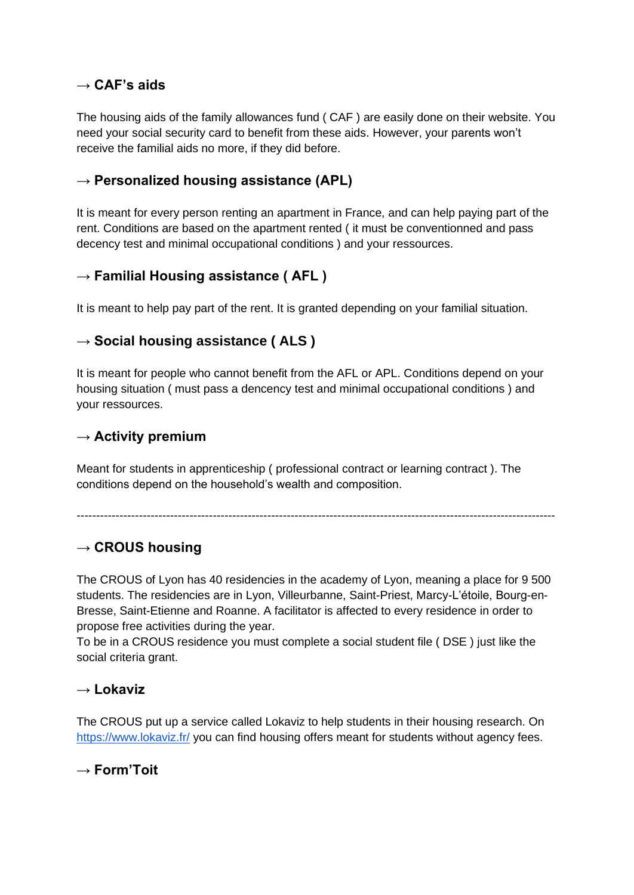## **→ CAF's aids**

The housing aids of the family allowances fund ( CAF ) are easily done on their website. You need your social security card to benefit from these aids. However, your parents won't receive the familial aids no more, if they did before.

### **→ Personalized housing assistance (APL)**

It is meant for every person renting an apartment in France, and can help paying part of the rent. Conditions are based on the apartment rented ( it must be conventionned and pass decency test and minimal occupational conditions ) and your ressources.

## **→ Familial Housing assistance ( AFL )**

It is meant to help pay part of the rent. It is granted depending on your familial situation.

### **→ Social housing assistance ( ALS )**

It is meant for people who cannot benefit from the AFL or APL. Conditions depend on your housing situation ( must pass a dencency test and minimal occupational conditions ) and your ressources.

### → **Activity premium**

Meant for students in apprenticeship ( professional contract or learning contract ). The conditions depend on the household's wealth and composition.

---------------------------------------------------------------------------------------------------------------------------

## → **CROUS** housing

The CROUS of Lyon has 40 residencies in the academy of Lyon, meaning a place for 9 500 students. The residencies are in Lyon, Villeurbanne, Saint-Priest, Marcy-L'étoile, Bourg-en-Bresse, Saint-Etienne and Roanne. A facilitator is affected to every residence in order to propose free activities during the year.

To be in a CROUS residence you must complete a social student file ( DSE ) just like the social criteria grant.

### **→ Lokaviz**

The CROUS put up a service called Lokaviz to help students in their housing research. On <https://www.lokaviz.fr/> you can find housing offers meant for students without agency fees.

**→ Form'Toit**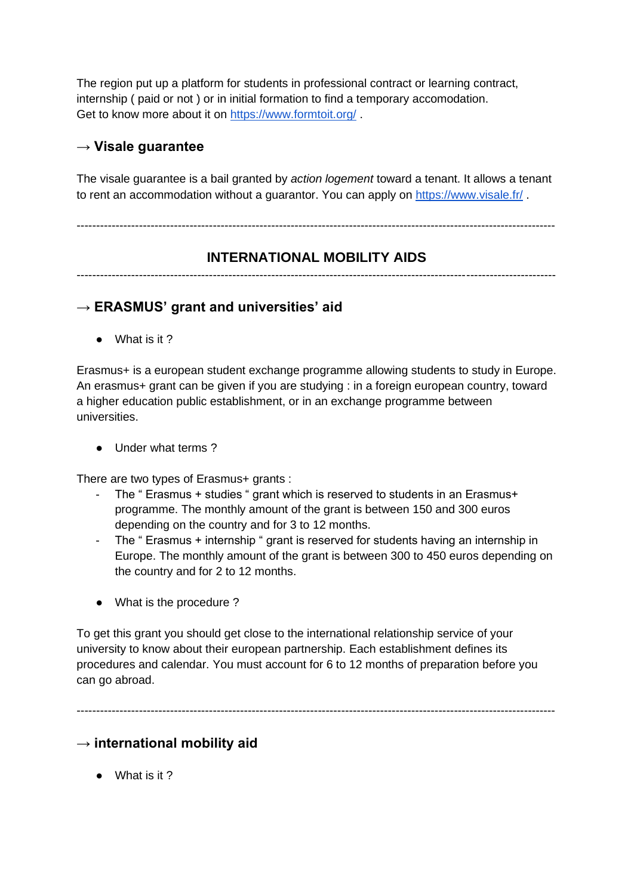The region put up a platform for students in professional contract or learning contract, internship ( paid or not ) or in initial formation to find a temporary accomodation. Get to know more about it on<https://www.formtoit.org/> .

## **→ Visale guarantee**

The visale guarantee is a bail granted by *action logement* toward a tenant. It allows a tenant to rent an accommodation without a guarantor. You can apply on<https://www.visale.fr/> .

---------------------------------------------------------------------------------------------------------------------------

# **INTERNATIONAL MOBILITY AIDS**

---------------------------------------------------------------------------------------------------------------------------

### **→ ERASMUS' grant and universities' aid**

● What is it ?

Erasmus+ is a european student exchange programme allowing students to study in Europe. An erasmus+ grant can be given if you are studying : in a foreign european country, toward a higher education public establishment, or in an exchange programme between universities.

● Under what terms ?

There are two types of Erasmus+ grants :

- The " Erasmus + studies " grant which is reserved to students in an Erasmus+ programme. The monthly amount of the grant is between 150 and 300 euros depending on the country and for 3 to 12 months.
- The " Erasmus + internship " grant is reserved for students having an internship in Europe. The monthly amount of the grant is between 300 to 450 euros depending on the country and for 2 to 12 months.
- What is the procedure?

To get this grant you should get close to the international relationship service of your university to know about their european partnership. Each establishment defines its procedures and calendar. You must account for 6 to 12 months of preparation before you can go abroad.

---------------------------------------------------------------------------------------------------------------------------

## **→ international mobility aid**

● What is it ?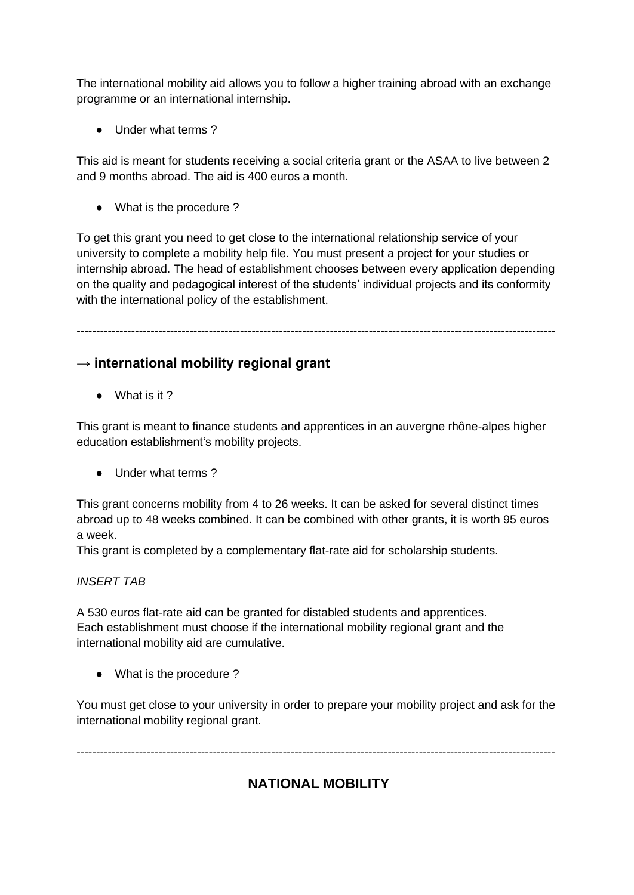The international mobility aid allows you to follow a higher training abroad with an exchange programme or an international internship.

● Under what terms ?

This aid is meant for students receiving a social criteria grant or the ASAA to live between 2 and 9 months abroad. The aid is 400 euros a month.

● What is the procedure ?

To get this grant you need to get close to the international relationship service of your university to complete a mobility help file. You must present a project for your studies or internship abroad. The head of establishment chooses between every application depending on the quality and pedagogical interest of the students' individual projects and its conformity with the international policy of the establishment.

---------------------------------------------------------------------------------------------------------------------------

## **→ international mobility regional grant**

● What is it ?

This grant is meant to finance students and apprentices in an auvergne rhône-alpes higher education establishment's mobility projects.

● Under what terms ?

This grant concerns mobility from 4 to 26 weeks. It can be asked for several distinct times abroad up to 48 weeks combined. It can be combined with other grants, it is worth 95 euros a week.

This grant is completed by a complementary flat-rate aid for scholarship students.

#### *INSERT TAB*

A 530 euros flat-rate aid can be granted for distabled students and apprentices. Each establishment must choose if the international mobility regional grant and the international mobility aid are cumulative.

• What is the procedure?

You must get close to your university in order to prepare your mobility project and ask for the international mobility regional grant.

---------------------------------------------------------------------------------------------------------------------------

# **NATIONAL MOBILITY**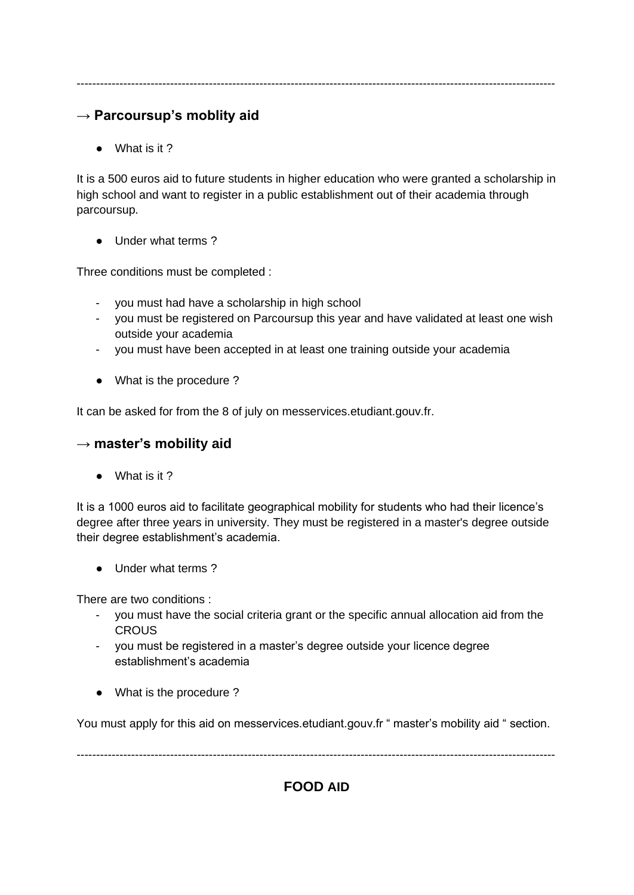## **→ Parcoursup's moblity aid**

● What is it ?

It is a 500 euros aid to future students in higher education who were granted a scholarship in high school and want to register in a public establishment out of their academia through parcoursup.

● Under what terms ?

Three conditions must be completed :

- you must had have a scholarship in high school
- you must be registered on Parcoursup this year and have validated at least one wish outside your academia
- you must have been accepted in at least one training outside your academia
- What is the procedure ?

It can be asked for from the 8 of july on messervices.etudiant.gouv.fr.

#### **→ master's mobility aid**

● What is it ?

It is a 1000 euros aid to facilitate geographical mobility for students who had their licence's degree after three years in university. They must be registered in a master's degree outside their degree establishment's academia.

● Under what terms ?

There are two conditions :

- you must have the social criteria grant or the specific annual allocation aid from the **CROUS**
- you must be registered in a master's degree outside your licence degree establishment's academia
- What is the procedure?

You must apply for this aid on messervices.etudiant.gouv.fr " master's mobility aid " section.

---------------------------------------------------------------------------------------------------------------------------

**FOOD AID**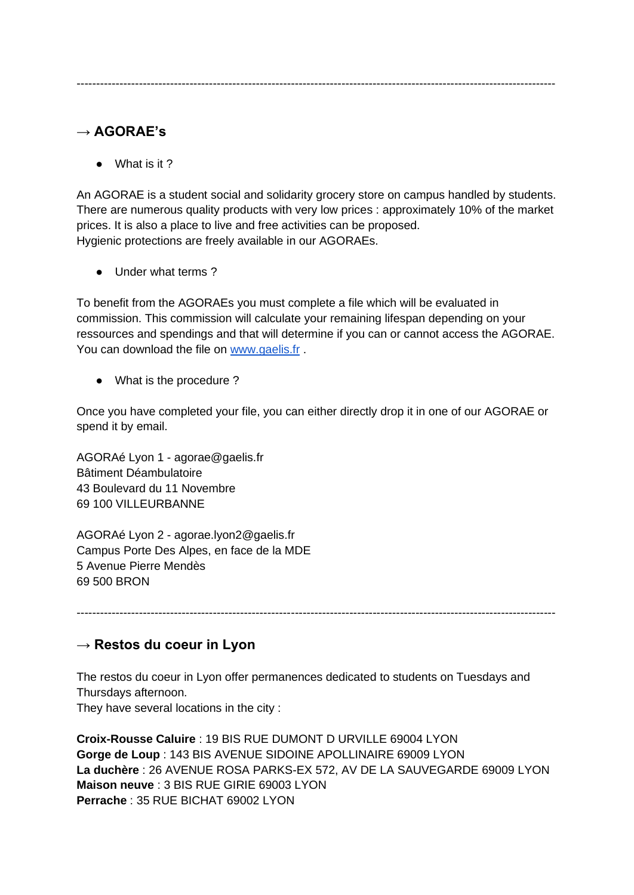# **→ AGORAE's**

● What is it ?

An AGORAE is a student social and solidarity grocery store on campus handled by students. There are numerous quality products with very low prices : approximately 10% of the market prices. It is also a place to live and free activities can be proposed. Hygienic protections are freely available in our AGORAEs.

● Under what terms ?

To benefit from the AGORAEs you must complete a file which will be evaluated in commission. This commission will calculate your remaining lifespan depending on your ressources and spendings and that will determine if you can or cannot access the AGORAE. You can download the file on [www.gaelis.fr](http://www.gaelis.fr/).

● What is the procedure ?

Once you have completed your file, you can either directly drop it in one of our AGORAE or spend it by email.

AGORAé Lyon 1 - agorae@gaelis.fr Bâtiment Déambulatoire 43 Boulevard du 11 Novembre 69 100 VILLEURBANNE

AGORAé Lyon 2 - agorae.lyon2@gaelis.fr Campus Porte Des Alpes, en face de la MDE 5 Avenue Pierre Mendès 69 500 BRON

---------------------------------------------------------------------------------------------------------------------------

# **→ Restos du coeur in Lyon**

The restos du coeur in Lyon offer permanences dedicated to students on Tuesdays and Thursdays afternoon. They have several locations in the city :

**Croix-Rousse Caluire** : 19 BIS RUE DUMONT D URVILLE 69004 LYON **Gorge de Loup** : 143 BIS AVENUE SIDOINE APOLLINAIRE 69009 LYON **La duchère** : 26 AVENUE ROSA PARKS-EX 572, AV DE LA SAUVEGARDE 69009 LYON **Maison neuve** : 3 BIS RUE GIRIE 69003 LYON **Perrache** : 35 RUE BICHAT 69002 LYON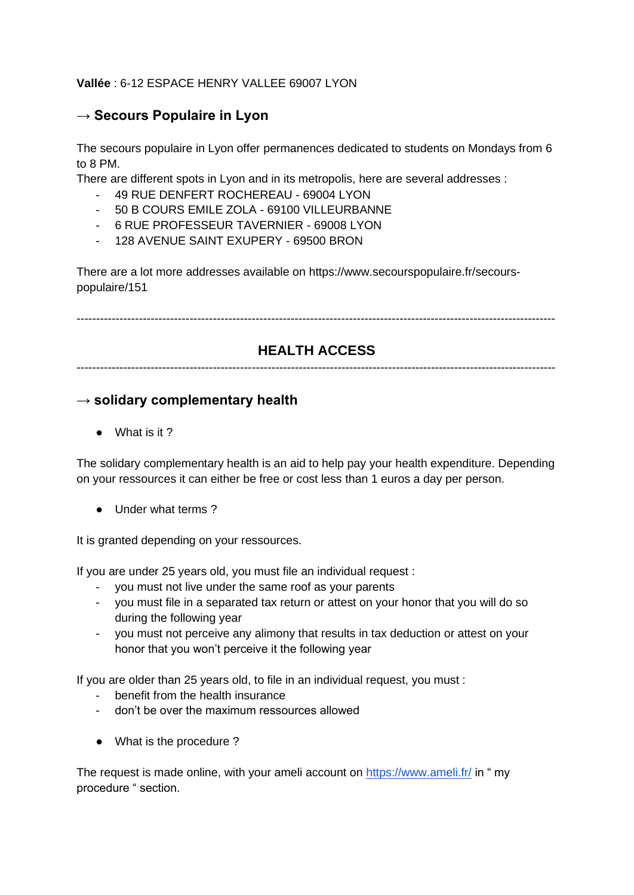#### **Vallée** : 6-12 ESPACE HENRY VALLEE 69007 LYON

### **→ Secours Populaire in Lyon**

The secours populaire in Lyon offer permanences dedicated to students on Mondays from 6 to 8 PM.

There are different spots in Lyon and in its metropolis, here are several addresses :

- 49 RUE DENFERT ROCHEREAU 69004 LYON
- 50 B COURS EMILE ZOLA 69100 VILLEURBANNE
- 6 RUE PROFESSEUR TAVERNIER 69008 LYON
- 128 AVENUE SAINT EXUPERY 69500 BRON

There are a lot more addresses available on https://www.secourspopulaire.fr/secourspopulaire/151

---------------------------------------------------------------------------------------------------------------------------

### **HEALTH ACCESS**

---------------------------------------------------------------------------------------------------------------------------

### **→ solidary complementary health**

● What is it ?

The solidary complementary health is an aid to help pay your health expenditure. Depending on your ressources it can either be free or cost less than 1 euros a day per person.

● Under what terms ?

It is granted depending on your ressources.

If you are under 25 years old, you must file an individual request :

- you must not live under the same roof as your parents
- you must file in a separated tax return or attest on your honor that you will do so during the following year
- you must not perceive any alimony that results in tax deduction or attest on your honor that you won't perceive it the following year

If you are older than 25 years old, to file in an individual request, you must :

- benefit from the health insurance
- don't be over the maximum ressources allowed
- What is the procedure ?

The request is made online, with your ameli account on<https://www.ameli.fr/> in " my procedure " section.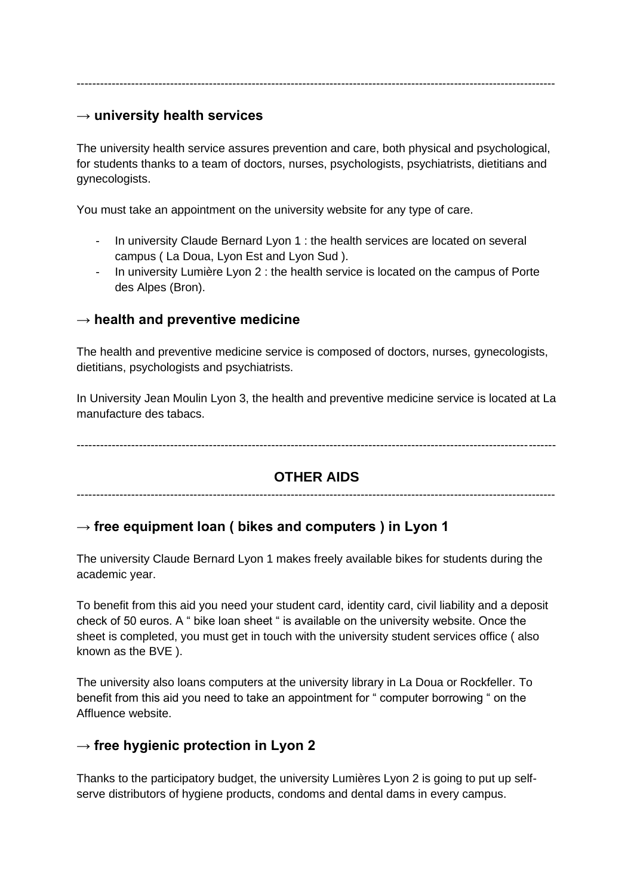#### **→ university health services**

The university health service assures prevention and care, both physical and psychological, for students thanks to a team of doctors, nurses, psychologists, psychiatrists, dietitians and gynecologists.

You must take an appointment on the university website for any type of care.

- In university Claude Bernard Lyon 1 : the health services are located on several campus ( La Doua, Lyon Est and Lyon Sud ).
- In university Lumière Lyon 2 : the health service is located on the campus of Porte des Alpes (Bron).

### **→ health and preventive medicine**

The health and preventive medicine service is composed of doctors, nurses, gynecologists, dietitians, psychologists and psychiatrists.

In University Jean Moulin Lyon 3, the health and preventive medicine service is located at La manufacture des tabacs.

---------------------------------------------------------------------------------------------------------------------------

### **OTHER AIDS**

---------------------------------------------------------------------------------------------------------------------------

### → free equipment loan ( bikes and computers ) in Lyon 1

The university Claude Bernard Lyon 1 makes freely available bikes for students during the academic year.

To benefit from this aid you need your student card, identity card, civil liability and a deposit check of 50 euros. A " bike loan sheet " is available on the university website. Once the sheet is completed, you must get in touch with the university student services office ( also known as the BVE ).

The university also loans computers at the university library in La Doua or Rockfeller. To benefit from this aid you need to take an appointment for " computer borrowing " on the Affluence website.

### **→ free hygienic protection in Lyon 2**

Thanks to the participatory budget, the university Lumières Lyon 2 is going to put up selfserve distributors of hygiene products, condoms and dental dams in every campus.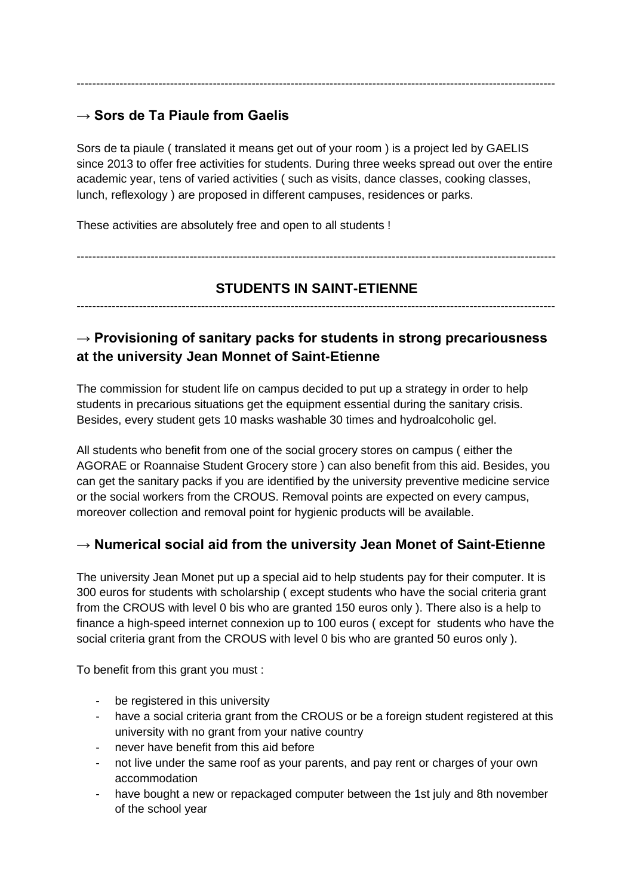# **→ Sors de Ta Piaule from Gaelis**

Sors de ta piaule ( translated it means get out of your room ) is a project led by GAELIS since 2013 to offer free activities for students. During three weeks spread out over the entire academic year, tens of varied activities ( such as visits, dance classes, cooking classes, lunch, reflexology ) are proposed in different campuses, residences or parks.

---------------------------------------------------------------------------------------------------------------------------

These activities are absolutely free and open to all students !

# **STUDENTS IN SAINT-ETIENNE**

---------------------------------------------------------------------------------------------------------------------------

---------------------------------------------------------------------------------------------------------------------------

# **→ Provisioning of sanitary packs for students in strong precariousness at the university Jean Monnet of Saint-Etienne**

The commission for student life on campus decided to put up a strategy in order to help students in precarious situations get the equipment essential during the sanitary crisis. Besides, every student gets 10 masks washable 30 times and hydroalcoholic gel.

All students who benefit from one of the social grocery stores on campus ( either the AGORAE or Roannaise Student Grocery store ) can also benefit from this aid. Besides, you can get the sanitary packs if you are identified by the university preventive medicine service or the social workers from the CROUS. Removal points are expected on every campus, moreover collection and removal point for hygienic products will be available.

# **→ Numerical social aid from the university Jean Monet of Saint-Etienne**

The university Jean Monet put up a special aid to help students pay for their computer. It is 300 euros for students with scholarship ( except students who have the social criteria grant from the CROUS with level 0 bis who are granted 150 euros only ). There also is a help to finance a high-speed internet connexion up to 100 euros ( except for students who have the social criteria grant from the CROUS with level 0 bis who are granted 50 euros only ).

To benefit from this grant you must :

- be registered in this university
- have a social criteria grant from the CROUS or be a foreign student registered at this university with no grant from your native country
- never have benefit from this aid before
- not live under the same roof as your parents, and pay rent or charges of your own accommodation
- have bought a new or repackaged computer between the 1st july and 8th november of the school year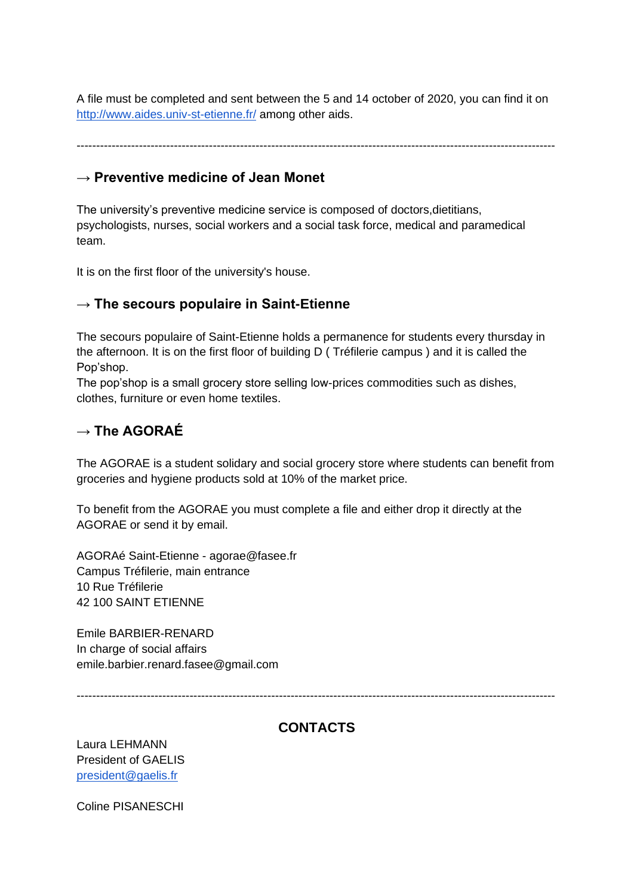A file must be completed and sent between the 5 and 14 october of 2020, you can find it on <http://www.aides.univ-st-etienne.fr/> among other aids.

---------------------------------------------------------------------------------------------------------------------------

### **→ Preventive medicine of Jean Monet**

The university's preventive medicine service is composed of doctors,dietitians, psychologists, nurses, social workers and a social task force, medical and paramedical team.

It is on the first floor of the university's house.

### **→ The secours populaire in Saint-Etienne**

The secours populaire of Saint-Etienne holds a permanence for students every thursday in the afternoon. It is on the first floor of building D ( Tréfilerie campus ) and it is called the Pop'shop.

The pop'shop is a small grocery store selling low-prices commodities such as dishes, clothes, furniture or even home textiles.

## **→ The AGORAÉ**

The AGORAE is a student solidary and social grocery store where students can benefit from groceries and hygiene products sold at 10% of the market price.

To benefit from the AGORAE you must complete a file and either drop it directly at the AGORAE or send it by email.

AGORAé Saint-Etienne - agorae@fasee.fr Campus Tréfilerie, main entrance 10 Rue Tréfilerie 42 100 SAINT ETIENNE

Emile BARBIER-RENARD In charge of social affairs emile.barbier.renard.fasee@gmail.com

---------------------------------------------------------------------------------------------------------------------------

## **CONTACTS**

Laura LEHMANN President of GAELIS [president@gaelis.fr](mailto:president@gaelis.fr)

Coline PISANESCHI